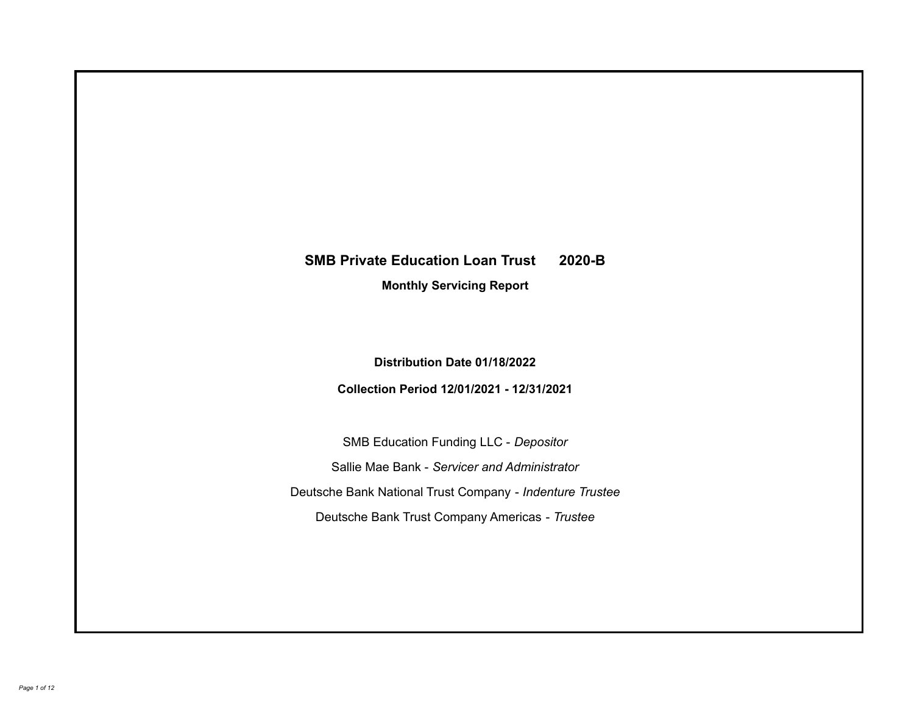# **SMB Private Education Loan Trust 2020-B**

**Monthly Servicing Report**

**Distribution Date 01/18/2022**

**Collection Period 12/01/2021 - 12/31/2021**

SMB Education Funding LLC - *Depositor* Sallie Mae Bank - *Servicer and Administrator* Deutsche Bank National Trust Company - *Indenture Trustee* Deutsche Bank Trust Company Americas - *Trustee*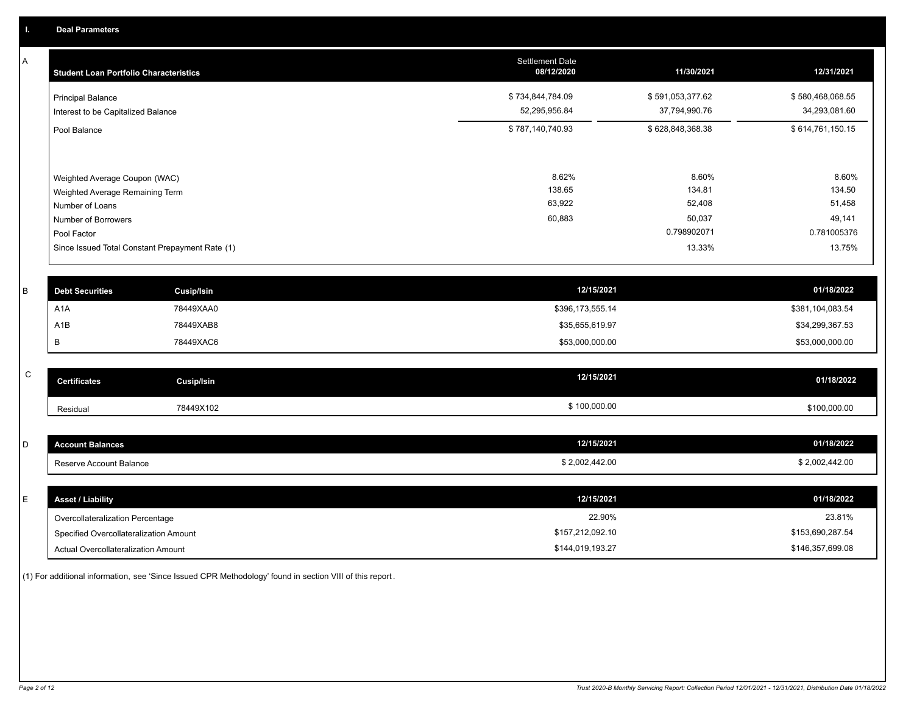A

| <b>Student Loan Portfolio Characteristics</b>                                                                             | <b>Settlement Date</b><br>08/12/2020 | 11/30/2021                                         | 12/31/2021                                         |
|---------------------------------------------------------------------------------------------------------------------------|--------------------------------------|----------------------------------------------------|----------------------------------------------------|
| <b>Principal Balance</b><br>Interest to be Capitalized Balance                                                            | \$734,844,784.09<br>52,295,956.84    | \$591,053,377.62<br>37,794,990.76                  | \$580,468,068.55<br>34,293,081.60                  |
| Pool Balance                                                                                                              | \$787,140,740.93                     | \$628,848,368.38                                   | \$614,761,150.15                                   |
| Weighted Average Coupon (WAC)<br>Weighted Average Remaining Term<br>Number of Loans<br>Number of Borrowers<br>Pool Factor | 8.62%<br>138.65<br>63,922<br>60,883  | 8.60%<br>134.81<br>52,408<br>50,037<br>0.798902071 | 8.60%<br>134.50<br>51,458<br>49,141<br>0.781005376 |
| Since Issued Total Constant Prepayment Rate (1)                                                                           |                                      | 13.33%                                             | 13.75%                                             |
|                                                                                                                           |                                      |                                                    |                                                    |

| <b>Debt Securities</b> | Cusip/Isin | 12/15/2021       | 01/18/2022       |
|------------------------|------------|------------------|------------------|
| A <sub>1</sub> A       | 78449XAA0  | \$396,173,555.14 | \$381,104,083.54 |
| A1B                    | 78449XAB8  | \$35,655,619.97  | \$34,299,367.53  |
|                        | 78449XAC6  | \$53,000,000.00  | \$53,000,000.00  |

| ~<br>- | <b>Certificates</b> | Cusip/Isin | 12/15/2021   | 01/18/2022   |
|--------|---------------------|------------|--------------|--------------|
|        | Residual            | 78449X102  | \$100,000.00 | \$100,000.00 |

| <b>Account Balances</b> | 12/15/2021     | 01/18/2022     |
|-------------------------|----------------|----------------|
| Reserve Account Balance | \$2,002,442.00 | \$2,002,442.00 |

| E.<br>┕ | <b>Asset / Liability</b>               | 12/15/2021       | 01/18/2022       |
|---------|----------------------------------------|------------------|------------------|
|         | Overcollateralization Percentage       | 22.90%           | 23.81%           |
|         | Specified Overcollateralization Amount | \$157,212,092.10 | \$153,690,287.54 |
|         | Actual Overcollateralization Amount    | \$144,019,193.27 | \$146,357,699.08 |

(1) For additional information, see 'Since Issued CPR Methodology' found in section VIII of this report .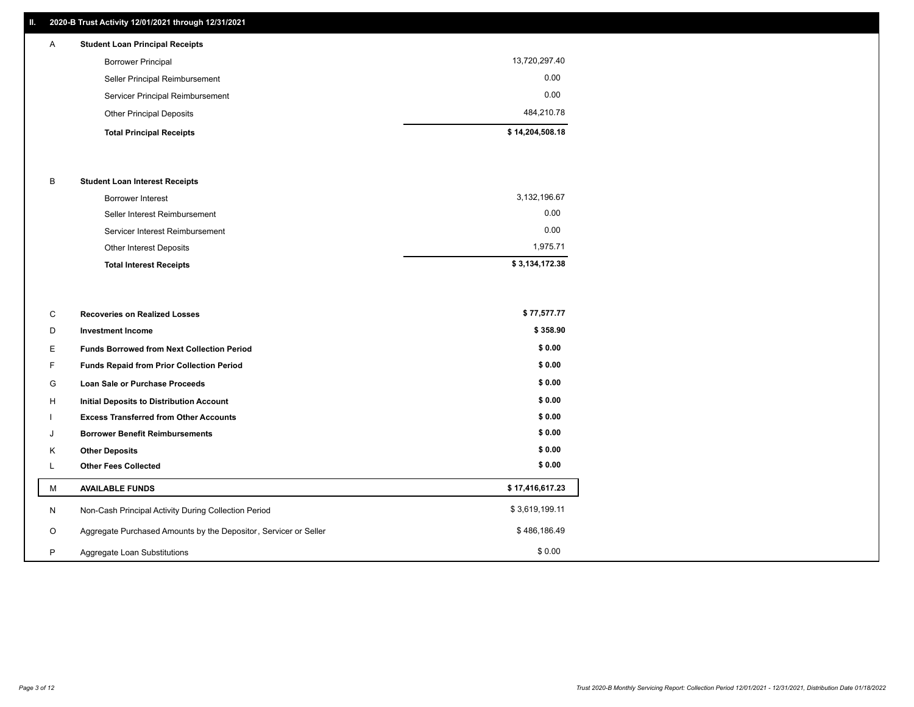## **II. 2020-B Trust Activity 12/01/2021 through 12/31/2021**

## **Total Principal Receipts \$ 14,204,508.18**  Other Principal Deposits 484,210.78 Servicer Principal Reimbursement 0.00 Seller Principal Reimbursement 0.00 Borrower Principal 13,720,297.40 A **Student Loan Principal Receipts**

#### B **Student Loan Interest Receipts**

| <b>Total Interest Receipts</b>  | \$3,134,172.38 |
|---------------------------------|----------------|
| Other Interest Deposits         | 1.975.71       |
| Servicer Interest Reimbursement | 0.00           |
| Seller Interest Reimbursement   | 0.00           |
| Borrower Interest               | 3,132,196.67   |

| С       | <b>Recoveries on Realized Losses</b>                             | \$77,577.77     |
|---------|------------------------------------------------------------------|-----------------|
| D       | <b>Investment Income</b>                                         | \$358.90        |
| Ε.      | <b>Funds Borrowed from Next Collection Period</b>                | \$0.00          |
| F.      | <b>Funds Repaid from Prior Collection Period</b>                 | \$0.00          |
| G       | Loan Sale or Purchase Proceeds                                   | \$0.00          |
| H       | <b>Initial Deposits to Distribution Account</b>                  | \$0.00          |
|         | <b>Excess Transferred from Other Accounts</b>                    | \$0.00          |
| J       | <b>Borrower Benefit Reimbursements</b>                           | \$0.00          |
| K       | <b>Other Deposits</b>                                            | \$0.00          |
|         | <b>Other Fees Collected</b>                                      | \$0.00          |
| м       | <b>AVAILABLE FUNDS</b>                                           | \$17,416,617.23 |
| N       | Non-Cash Principal Activity During Collection Period             | \$3,619,199.11  |
| $\circ$ | Aggregate Purchased Amounts by the Depositor, Servicer or Seller | \$486,186.49    |
| P       | Aggregate Loan Substitutions                                     | \$0.00          |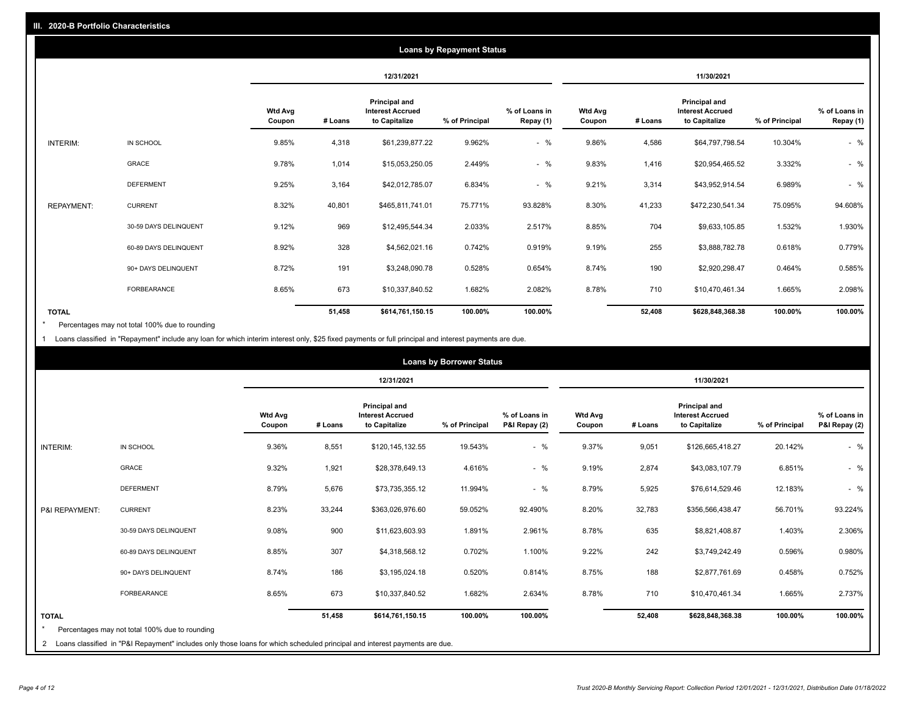|                   |                       |                          |         |                                                           | <b>Loans by Repayment Status</b> |                            |                          |         |                                                           |                |                            |
|-------------------|-----------------------|--------------------------|---------|-----------------------------------------------------------|----------------------------------|----------------------------|--------------------------|---------|-----------------------------------------------------------|----------------|----------------------------|
|                   |                       |                          |         | 12/31/2021                                                |                                  |                            |                          |         | 11/30/2021                                                |                |                            |
|                   |                       | <b>Wtd Avg</b><br>Coupon | # Loans | Principal and<br><b>Interest Accrued</b><br>to Capitalize | % of Principal                   | % of Loans in<br>Repay (1) | <b>Wtd Avg</b><br>Coupon | # Loans | Principal and<br><b>Interest Accrued</b><br>to Capitalize | % of Principal | % of Loans in<br>Repay (1) |
| INTERIM:          | IN SCHOOL             | 9.85%                    | 4,318   | \$61,239,877.22                                           | 9.962%                           | $-$ %                      | 9.86%                    | 4,586   | \$64,797,798.54                                           | 10.304%        | $-$ %                      |
|                   | GRACE                 | 9.78%                    | 1,014   | \$15,053,250.05                                           | 2.449%                           | $-$ %                      | 9.83%                    | 1,416   | \$20,954,465.52                                           | 3.332%         | $-$ %                      |
|                   | <b>DEFERMENT</b>      | 9.25%                    | 3,164   | \$42,012,785.07                                           | 6.834%                           | $-$ %                      | 9.21%                    | 3,314   | \$43,952,914.54                                           | 6.989%         | $-$ %                      |
| <b>REPAYMENT:</b> | <b>CURRENT</b>        | 8.32%                    | 40,801  | \$465,811,741.01                                          | 75.771%                          | 93.828%                    | 8.30%                    | 41,233  | \$472,230,541.34                                          | 75.095%        | 94.608%                    |
|                   | 30-59 DAYS DELINQUENT | 9.12%                    | 969     | \$12,495,544.34                                           | 2.033%                           | 2.517%                     | 8.85%                    | 704     | \$9,633,105.85                                            | 1.532%         | 1.930%                     |
|                   | 60-89 DAYS DELINQUENT | 8.92%                    | 328     | \$4,562,021.16                                            | 0.742%                           | 0.919%                     | 9.19%                    | 255     | \$3,888,782.78                                            | 0.618%         | 0.779%                     |
|                   | 90+ DAYS DELINQUENT   | 8.72%                    | 191     | \$3,248,090.78                                            | 0.528%                           | 0.654%                     | 8.74%                    | 190     | \$2,920,298.47                                            | 0.464%         | 0.585%                     |
|                   | <b>FORBEARANCE</b>    | 8.65%                    | 673     | \$10,337,840.52                                           | 1.682%                           | 2.082%                     | 8.78%                    | 710     | \$10,470,461.34                                           | 1.665%         | 2.098%                     |
| <b>TOTAL</b>      |                       |                          | 51,458  | \$614,761,150.15                                          | 100.00%                          | 100.00%                    |                          | 52,408  | \$628,848,368.38                                          | 100.00%        | 100.00%                    |

Percentages may not total 100% due to rounding \*

1 Loans classified in "Repayment" include any loan for which interim interest only, \$25 fixed payments or full principal and interest payments are due.

|                                                                                                                                                                                                |                          |         | 12/31/2021                                                       |                |                                |                          |         |                                                                  |                |                                |  |
|------------------------------------------------------------------------------------------------------------------------------------------------------------------------------------------------|--------------------------|---------|------------------------------------------------------------------|----------------|--------------------------------|--------------------------|---------|------------------------------------------------------------------|----------------|--------------------------------|--|
|                                                                                                                                                                                                |                          |         |                                                                  |                |                                |                          |         | 11/30/2021                                                       |                |                                |  |
|                                                                                                                                                                                                | <b>Wtd Avg</b><br>Coupon | # Loans | <b>Principal and</b><br><b>Interest Accrued</b><br>to Capitalize | % of Principal | % of Loans in<br>P&I Repay (2) | <b>Wtd Avg</b><br>Coupon | # Loans | <b>Principal and</b><br><b>Interest Accrued</b><br>to Capitalize | % of Principal | % of Loans in<br>P&I Repay (2) |  |
| INTERIM:<br>IN SCHOOL                                                                                                                                                                          | 9.36%                    | 8,551   | \$120,145,132.55                                                 | 19.543%        | $-$ %                          | 9.37%                    | 9,051   | \$126,665,418.27                                                 | 20.142%        | $-$ %                          |  |
| <b>GRACE</b>                                                                                                                                                                                   | 9.32%                    | 1,921   | \$28,378,649.13                                                  | 4.616%         | $-$ %                          | 9.19%                    | 2,874   | \$43,083,107.79                                                  | 6.851%         | $-$ %                          |  |
| <b>DEFERMENT</b>                                                                                                                                                                               | 8.79%                    | 5,676   | \$73,735,355.12                                                  | 11.994%        | $-$ %                          | 8.79%                    | 5,925   | \$76,614,529.46                                                  | 12.183%        | $-$ %                          |  |
| <b>CURRENT</b><br>P&I REPAYMENT:                                                                                                                                                               | 8.23%                    | 33,244  | \$363,026,976.60                                                 | 59.052%        | 92.490%                        | 8.20%                    | 32,783  | \$356,566,438.47                                                 | 56.701%        | 93.224%                        |  |
| 30-59 DAYS DELINQUENT                                                                                                                                                                          | 9.08%                    | 900     | \$11,623,603.93                                                  | 1.891%         | 2.961%                         | 8.78%                    | 635     | \$8,821,408.87                                                   | 1.403%         | 2.306%                         |  |
| 60-89 DAYS DELINQUENT                                                                                                                                                                          | 8.85%                    | 307     | \$4,318,568.12                                                   | 0.702%         | 1.100%                         | 9.22%                    | 242     | \$3,749,242.49                                                   | 0.596%         | 0.980%                         |  |
| 90+ DAYS DELINQUENT                                                                                                                                                                            | 8.74%                    | 186     | \$3,195,024.18                                                   | 0.520%         | 0.814%                         | 8.75%                    | 188     | \$2,877,761.69                                                   | 0.458%         | 0.752%                         |  |
| <b>FORBEARANCE</b>                                                                                                                                                                             | 8.65%                    | 673     | \$10,337,840.52                                                  | 1.682%         | 2.634%                         | 8.78%                    | 710     | \$10,470,461.34                                                  | 1.665%         | 2.737%                         |  |
| <b>TOTAL</b><br>Percentages may not total 100% due to rounding<br>2 Loans classified in "P&I Repayment" includes only those loans for which scheduled principal and interest payments are due. |                          | 51,458  | \$614,761,150.15                                                 | 100.00%        | 100.00%                        |                          | 52,408  | \$628,848,368.38                                                 | 100.00%        | 100.00%                        |  |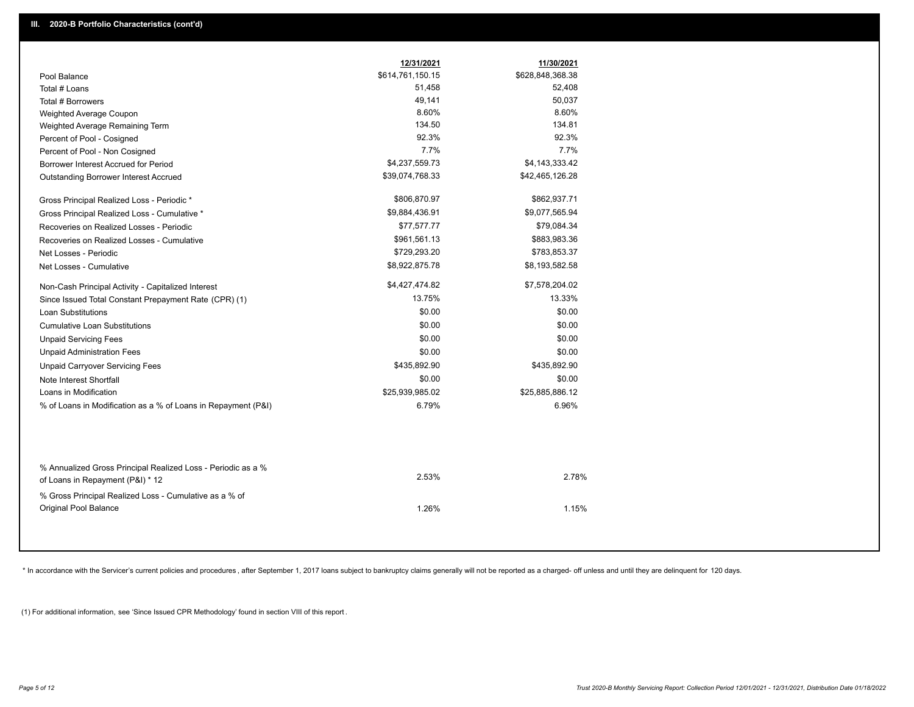|                                                                                                  | 12/31/2021       | 11/30/2021       |
|--------------------------------------------------------------------------------------------------|------------------|------------------|
| Pool Balance                                                                                     | \$614,761,150.15 | \$628,848,368.38 |
| Total # Loans                                                                                    | 51,458           | 52,408           |
| Total # Borrowers                                                                                | 49,141           | 50,037           |
| Weighted Average Coupon                                                                          | 8.60%            | 8.60%            |
| Weighted Average Remaining Term                                                                  | 134.50           | 134.81           |
| Percent of Pool - Cosigned                                                                       | 92.3%            | 92.3%            |
| Percent of Pool - Non Cosigned                                                                   | 7.7%             | 7.7%             |
| Borrower Interest Accrued for Period                                                             | \$4,237,559.73   | \$4,143,333.42   |
| <b>Outstanding Borrower Interest Accrued</b>                                                     | \$39,074,768.33  | \$42,465,126.28  |
| Gross Principal Realized Loss - Periodic *                                                       | \$806,870.97     | \$862,937.71     |
| Gross Principal Realized Loss - Cumulative *                                                     | \$9,884,436.91   | \$9,077,565.94   |
| Recoveries on Realized Losses - Periodic                                                         | \$77,577.77      | \$79,084.34      |
| Recoveries on Realized Losses - Cumulative                                                       | \$961,561.13     | \$883,983.36     |
| Net Losses - Periodic                                                                            | \$729,293.20     | \$783,853.37     |
| Net Losses - Cumulative                                                                          | \$8,922,875.78   | \$8,193,582.58   |
| Non-Cash Principal Activity - Capitalized Interest                                               | \$4,427,474.82   | \$7,578,204.02   |
| Since Issued Total Constant Prepayment Rate (CPR) (1)                                            | 13.75%           | 13.33%           |
| <b>Loan Substitutions</b>                                                                        | \$0.00           | \$0.00           |
| <b>Cumulative Loan Substitutions</b>                                                             | \$0.00           | \$0.00           |
| <b>Unpaid Servicing Fees</b>                                                                     | \$0.00           | \$0.00           |
| <b>Unpaid Administration Fees</b>                                                                | \$0.00           | \$0.00           |
| <b>Unpaid Carryover Servicing Fees</b>                                                           | \$435,892.90     | \$435,892.90     |
| Note Interest Shortfall                                                                          | \$0.00           | \$0.00           |
| Loans in Modification                                                                            | \$25,939,985.02  | \$25,885,886.12  |
| % of Loans in Modification as a % of Loans in Repayment (P&I)                                    | 6.79%            | 6.96%            |
|                                                                                                  |                  |                  |
| % Annualized Gross Principal Realized Loss - Periodic as a %<br>of Loans in Repayment (P&I) * 12 | 2.53%            | 2.78%            |
| % Gross Principal Realized Loss - Cumulative as a % of<br>Original Pool Balance                  | 1.26%            | 1.15%            |

\* In accordance with the Servicer's current policies and procedures, after September 1, 2017 loans subject to bankruptcy claims generally will not be reported as a charged- off unless and until they are delinquent for 120

(1) For additional information, see 'Since Issued CPR Methodology' found in section VIII of this report .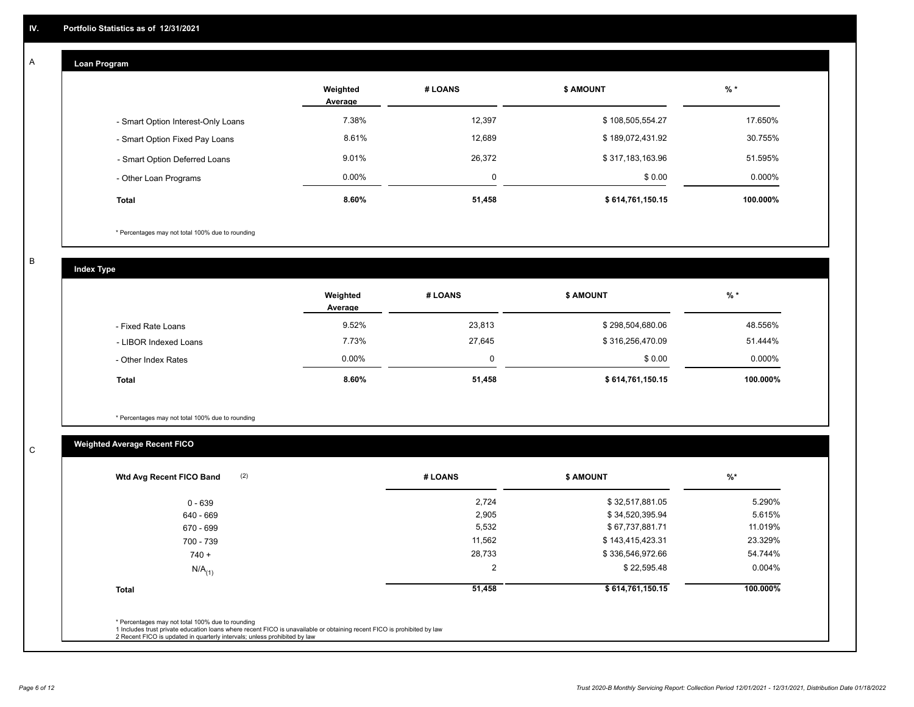## **Loan Program**

A

|                                    | Weighted<br>Average | # LOANS  | <b>\$ AMOUNT</b> | $%$ *    |
|------------------------------------|---------------------|----------|------------------|----------|
| - Smart Option Interest-Only Loans | 7.38%               | 12,397   | \$108,505,554.27 | 17.650%  |
| - Smart Option Fixed Pay Loans     | 8.61%               | 12,689   | \$189,072,431.92 | 30.755%  |
| - Smart Option Deferred Loans      | 9.01%               | 26,372   | \$317,183,163.96 | 51.595%  |
| - Other Loan Programs              | $0.00\%$            | $\Omega$ | \$0.00           | 0.000%   |
| <b>Total</b>                       | 8.60%               | 51,458   | \$614,761,150.15 | 100.000% |

\* Percentages may not total 100% due to rounding

B

C

**Index Type**

|                       | Weighted<br>Average | # LOANS | <b>\$ AMOUNT</b> | $%$ *     |
|-----------------------|---------------------|---------|------------------|-----------|
| - Fixed Rate Loans    | 9.52%               | 23,813  | \$298,504,680.06 | 48.556%   |
| - LIBOR Indexed Loans | 7.73%               | 27,645  | \$316,256,470.09 | 51.444%   |
| - Other Index Rates   | $0.00\%$            | 0       | \$0.00           | $0.000\%$ |
| Total                 | 8.60%               | 51,458  | \$614,761,150.15 | 100.000%  |

\* Percentages may not total 100% due to rounding

## **Weighted Average Recent FICO**

| 2,724<br>2,905<br>5,532 | \$32,517,881.05<br>\$34,520,395.94<br>\$67,737,881.71 | 5.290%<br>5.615% |
|-------------------------|-------------------------------------------------------|------------------|
|                         |                                                       |                  |
|                         |                                                       |                  |
|                         |                                                       | 11.019%          |
| 11,562                  | \$143,415,423.31                                      | 23.329%          |
| 28,733                  | \$336,546,972.66                                      | 54.744%          |
| 2                       | \$22,595.48                                           | $0.004\%$        |
| 51,458                  | \$614,761,150.15                                      | 100.000%         |
|                         |                                                       |                  |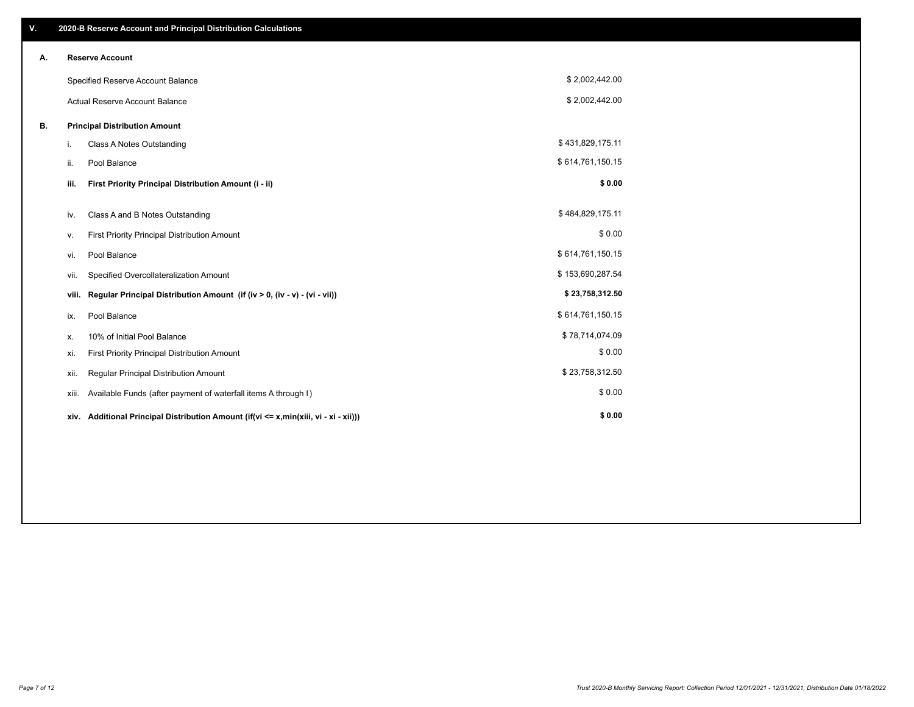| V. |                                      | 2020-B Reserve Account and Principal Distribution Calculations                       |                  |  |
|----|--------------------------------------|--------------------------------------------------------------------------------------|------------------|--|
| Α. |                                      | <b>Reserve Account</b>                                                               |                  |  |
|    |                                      | Specified Reserve Account Balance                                                    | \$2,002,442.00   |  |
|    |                                      | <b>Actual Reserve Account Balance</b>                                                | \$2,002,442.00   |  |
| В. | <b>Principal Distribution Amount</b> |                                                                                      |                  |  |
|    | i.                                   | Class A Notes Outstanding                                                            | \$431,829,175.11 |  |
|    | ii.                                  | Pool Balance                                                                         | \$614,761,150.15 |  |
|    | iii.                                 | First Priority Principal Distribution Amount (i - ii)                                | \$0.00           |  |
|    | iv.                                  | Class A and B Notes Outstanding                                                      | \$484,829,175.11 |  |
|    | ۷.                                   | First Priority Principal Distribution Amount                                         | \$0.00           |  |
|    | vi.                                  | Pool Balance                                                                         | \$614,761,150.15 |  |
|    | vii.                                 | Specified Overcollateralization Amount                                               | \$153,690,287.54 |  |
|    | viii.                                | Regular Principal Distribution Amount (if (iv > 0, (iv - v) - (vi - vii))            | \$23,758,312.50  |  |
|    | ix.                                  | Pool Balance                                                                         | \$614,761,150.15 |  |
|    | х.                                   | 10% of Initial Pool Balance                                                          | \$78,714,074.09  |  |
|    | xi.                                  | First Priority Principal Distribution Amount                                         | \$0.00           |  |
|    | Xii.                                 | Regular Principal Distribution Amount                                                | \$23,758,312.50  |  |
|    | xiii.                                | Available Funds (after payment of waterfall items A through I)                       | \$0.00           |  |
|    |                                      | xiv. Additional Principal Distribution Amount (if(vi <= x,min(xiii, vi - xi - xii))) | \$0.00           |  |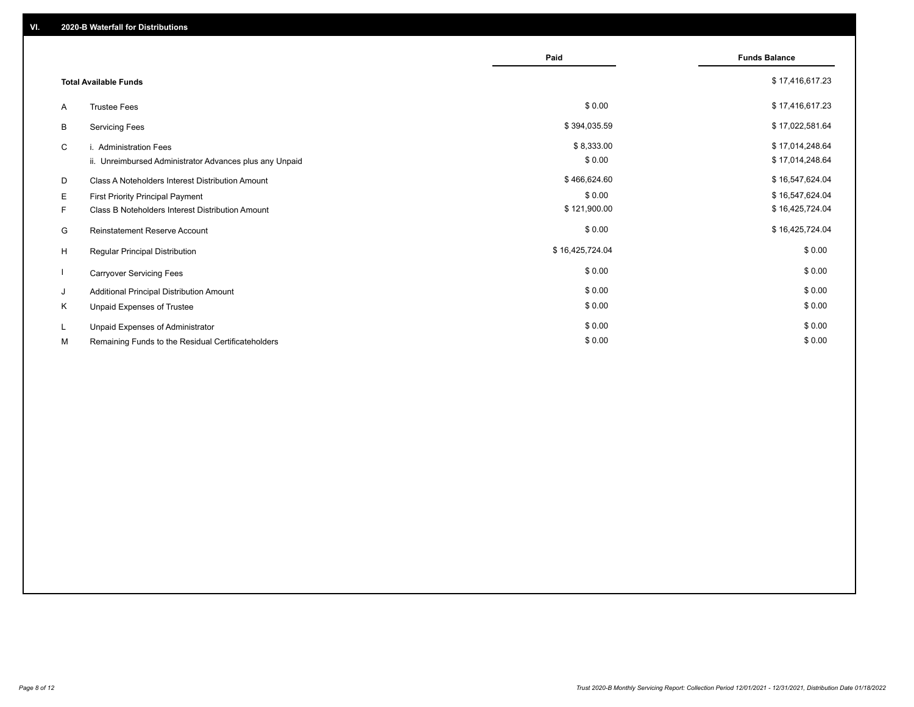|                              |                                                         | Paid            | <b>Funds Balance</b> |
|------------------------------|---------------------------------------------------------|-----------------|----------------------|
|                              |                                                         |                 |                      |
| <b>Total Available Funds</b> |                                                         |                 | \$17,416,617.23      |
| A                            | <b>Trustee Fees</b>                                     | \$0.00          | \$17,416,617.23      |
| В                            | <b>Servicing Fees</b>                                   | \$394,035.59    | \$17,022,581.64      |
| C                            | i. Administration Fees                                  | \$8,333.00      | \$17,014,248.64      |
|                              | ii. Unreimbursed Administrator Advances plus any Unpaid | \$0.00          | \$17,014,248.64      |
| D                            | Class A Noteholders Interest Distribution Amount        | \$466,624.60    | \$16,547,624.04      |
| E.                           | <b>First Priority Principal Payment</b>                 | \$0.00          | \$16,547,624.04      |
| F.                           | Class B Noteholders Interest Distribution Amount        | \$121,900.00    | \$16,425,724.04      |
| G                            | <b>Reinstatement Reserve Account</b>                    | \$0.00          | \$16,425,724.04      |
| H                            | Regular Principal Distribution                          | \$16,425,724.04 | \$0.00               |
|                              | <b>Carryover Servicing Fees</b>                         | \$0.00          | \$0.00               |
| J                            | Additional Principal Distribution Amount                | \$0.00          | \$0.00               |
| Κ                            | Unpaid Expenses of Trustee                              | \$0.00          | \$0.00               |
| L.                           | Unpaid Expenses of Administrator                        | \$0.00          | \$0.00               |
| М                            | Remaining Funds to the Residual Certificateholders      | \$0.00          | \$0.00               |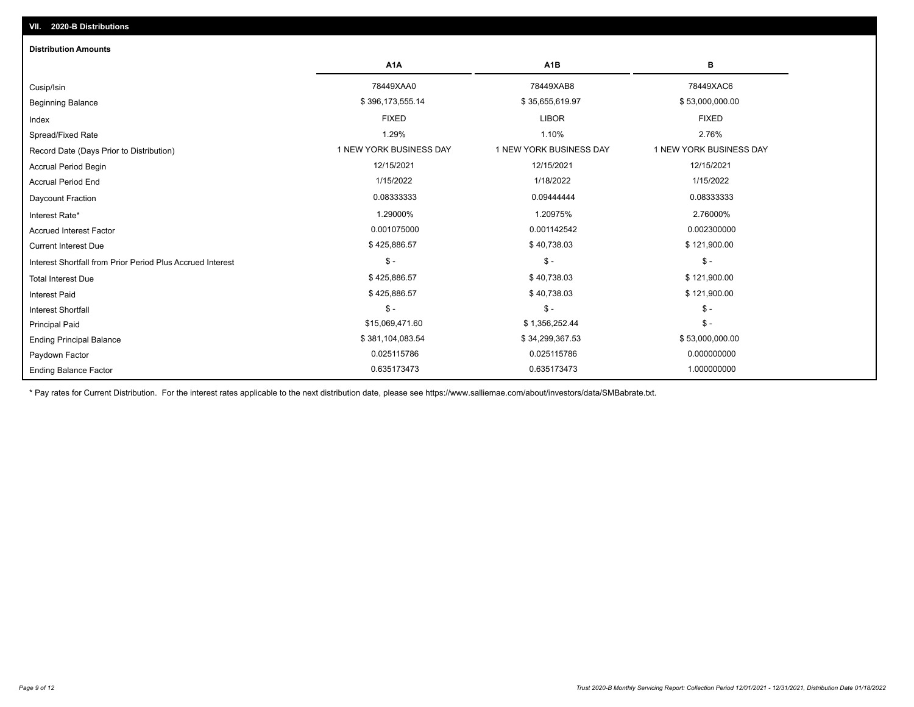| <b>Distribution Amounts</b>                                |                         |                         |                         |
|------------------------------------------------------------|-------------------------|-------------------------|-------------------------|
|                                                            | A <sub>1</sub> A        | A <sub>1</sub> B        | в                       |
| Cusip/Isin                                                 | 78449XAA0               | 78449XAB8               | 78449XAC6               |
| <b>Beginning Balance</b>                                   | \$396,173,555.14        | \$35,655,619.97         | \$53,000,000.00         |
| Index                                                      | <b>FIXED</b>            | <b>LIBOR</b>            | <b>FIXED</b>            |
| Spread/Fixed Rate                                          | 1.29%                   | 1.10%                   | 2.76%                   |
| Record Date (Days Prior to Distribution)                   | 1 NEW YORK BUSINESS DAY | 1 NEW YORK BUSINESS DAY | 1 NEW YORK BUSINESS DAY |
| Accrual Period Begin                                       | 12/15/2021              | 12/15/2021              | 12/15/2021              |
| <b>Accrual Period End</b>                                  | 1/15/2022               | 1/18/2022               | 1/15/2022               |
| Daycount Fraction                                          | 0.08333333              | 0.09444444              | 0.08333333              |
| Interest Rate*                                             | 1.29000%                | 1.20975%                | 2.76000%                |
| <b>Accrued Interest Factor</b>                             | 0.001075000             | 0.001142542             | 0.002300000             |
| <b>Current Interest Due</b>                                | \$425,886.57            | \$40,738.03             | \$121,900.00            |
| Interest Shortfall from Prior Period Plus Accrued Interest | $\frac{1}{2}$           | $$ -$                   | $\mathsf{\$}$ -         |
| <b>Total Interest Due</b>                                  | \$425,886.57            | \$40,738.03             | \$121,900.00            |
| <b>Interest Paid</b>                                       | \$425,886.57            | \$40,738.03             | \$121,900.00            |
| Interest Shortfall                                         | $\frac{1}{2}$           | $$ -$                   | $$ -$                   |
| <b>Principal Paid</b>                                      | \$15,069,471.60         | \$1,356,252.44          | $\mathsf{\$}$ -         |
| <b>Ending Principal Balance</b>                            | \$381,104,083.54        | \$34,299,367.53         | \$53,000,000.00         |
| Paydown Factor                                             | 0.025115786             | 0.025115786             | 0.000000000             |
| <b>Ending Balance Factor</b>                               | 0.635173473             | 0.635173473             | 1.000000000             |

\* Pay rates for Current Distribution. For the interest rates applicable to the next distribution date, please see https://www.salliemae.com/about/investors/data/SMBabrate.txt.

**VII. 2020-B Distributions**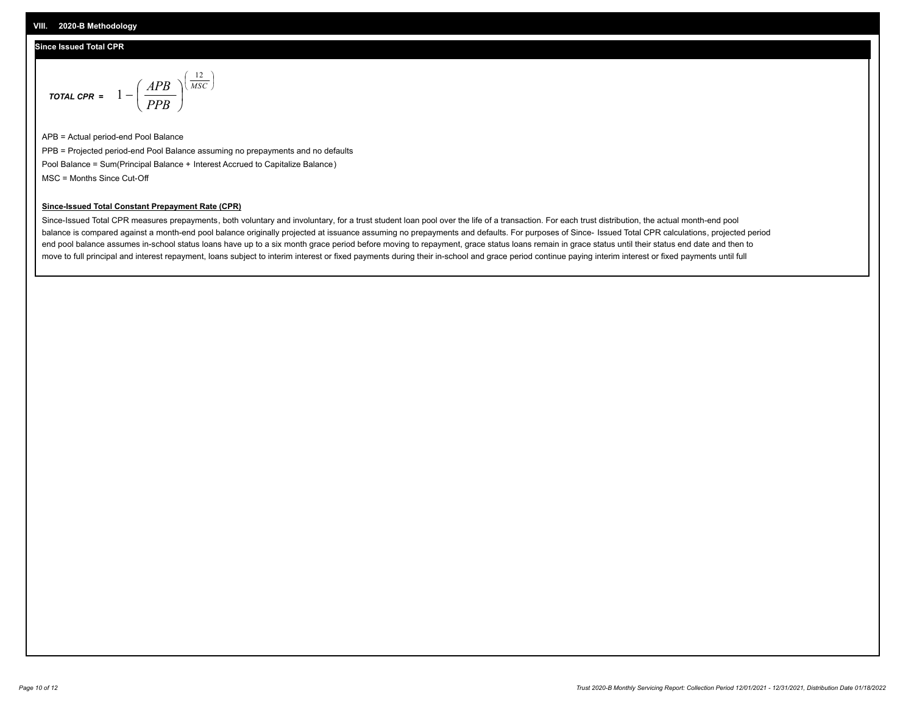### **Since Issued Total CPR**

$$
\text{total cPR} = 1 - \left(\frac{APB}{PPB}\right)^{\left(\frac{12}{MSC}\right)}
$$

APB = Actual period-end Pool Balance PPB = Projected period-end Pool Balance assuming no prepayments and no defaults Pool Balance = Sum(Principal Balance + Interest Accrued to Capitalize Balance) MSC = Months Since Cut-Off

I J Ι

#### **Since-Issued Total Constant Prepayment Rate (CPR)**

Since-Issued Total CPR measures prepayments, both voluntary and involuntary, for a trust student loan pool over the life of a transaction. For each trust distribution, the actual month-end pool balance is compared against a month-end pool balance originally projected at issuance assuming no prepayments and defaults. For purposes of Since- Issued Total CPR calculations, projected period end pool balance assumes in-school status loans have up to a six month grace period before moving to repayment, grace status loans remain in grace status until their status end date and then to move to full principal and interest repayment, loans subject to interim interest or fixed payments during their in-school and grace period continue paying interim interest or fixed payments until full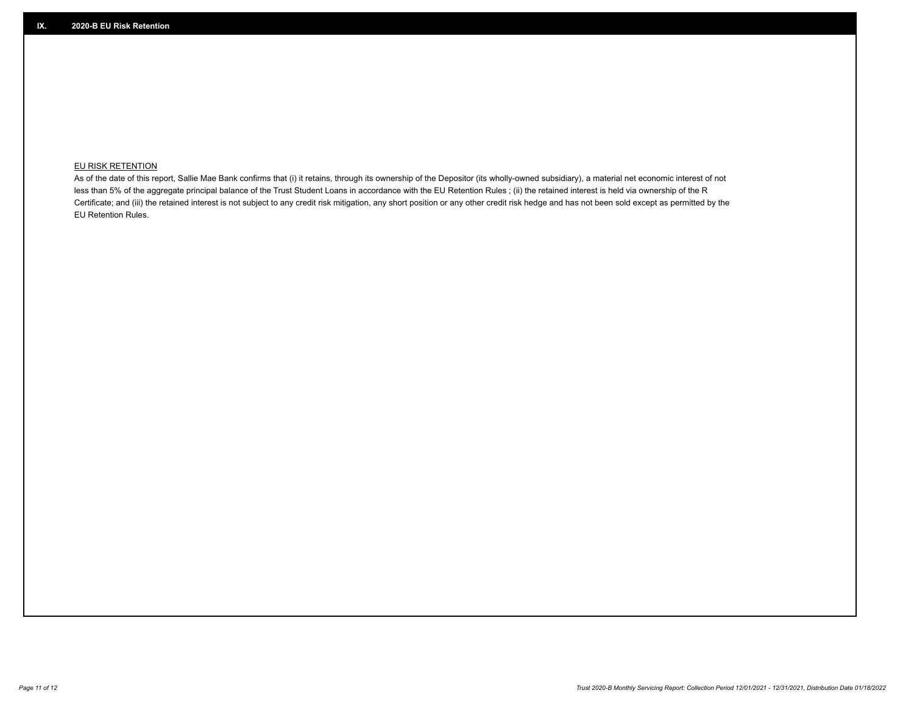## **EU RISK RETENTION**

As of the date of this report, Sallie Mae Bank confirms that (i) it retains, through its ownership of the Depositor (its wholly-owned subsidiary), a material net economic interest of not less than 5% of the aggregate principal balance of the Trust Student Loans in accordance with the EU Retention Rules ; (ii) the retained interest is held via ownership of the R Certificate; and (iii) the retained interest is not subject to any credit risk mitigation, any short position or any other credit risk hedge and has not been sold except as permitted by the EU Retention Rules.